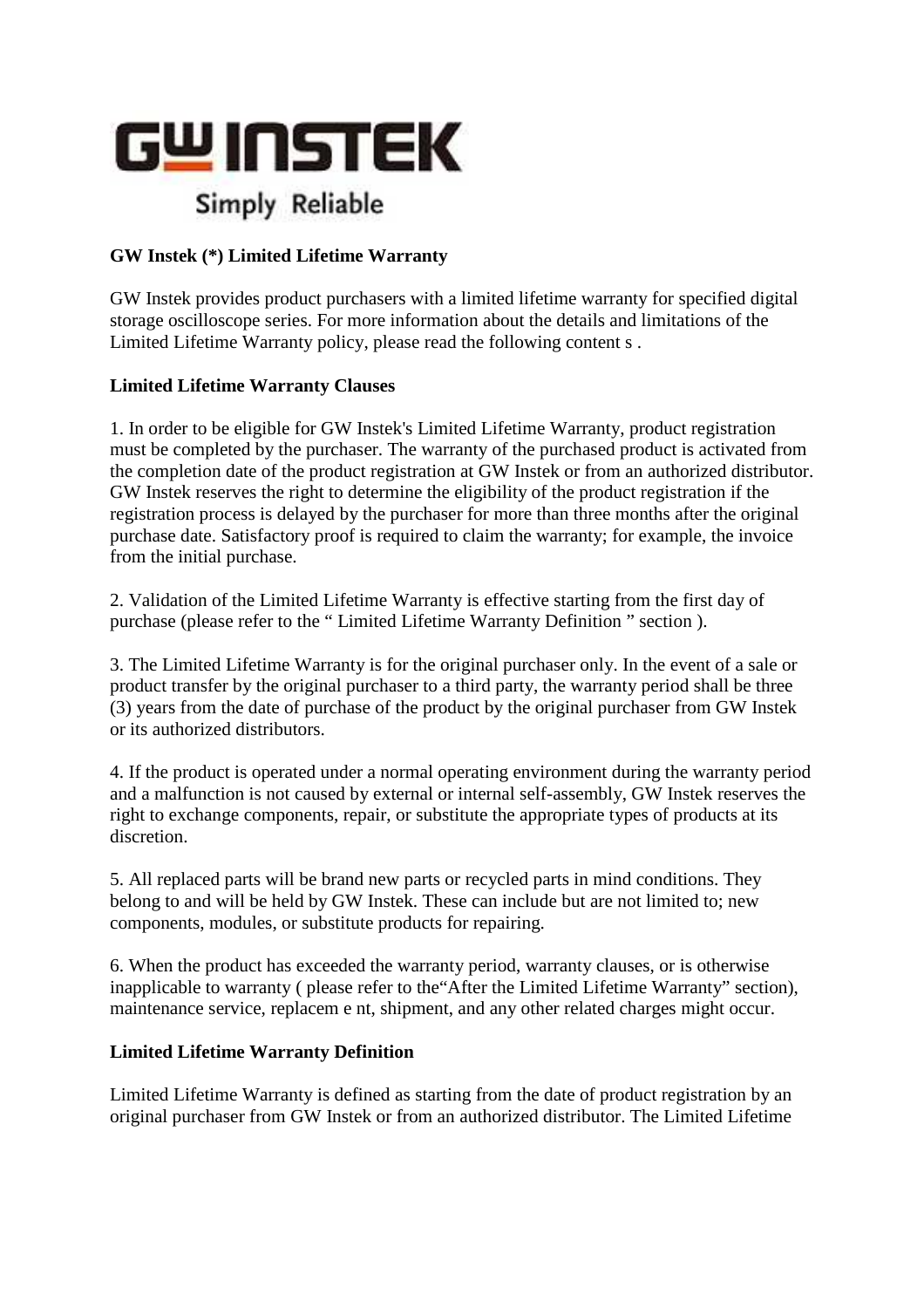

## **GW Instek (\*) Limited Lifetime Warranty**

GW Instek provides product purchasers with a limited lifetime warranty for specified digital storage oscilloscope series. For more information about the details and limitations of the Limited Lifetime Warranty policy, please read the following content s .

### **Limited Lifetime Warranty Clauses**

1. In order to be eligible for GW Instek's Limited Lifetime Warranty, product registration must be completed by the purchaser. The warranty of the purchased product is activated from the completion date of the product registration at GW Instek or from an authorized distributor. GW Instek reserves the right to determine the eligibility of the product registration if the registration process is delayed by the purchaser for more than three months after the original purchase date. Satisfactory proof is required to claim the warranty; for example, the invoice from the initial purchase.

2. Validation of the Limited Lifetime Warranty is effective starting from the first day of purchase (please refer to the " Limited Lifetime Warranty Definition " section ).

3. The Limited Lifetime Warranty is for the original purchaser only. In the event of a sale or product transfer by the original purchaser to a third party, the warranty period shall be three (3) years from the date of purchase of the product by the original purchaser from GW Instek or its authorized distributors.

4. If the product is operated under a normal operating environment during the warranty period and a malfunction is not caused by external or internal self-assembly, GW Instek reserves the right to exchange components, repair, or substitute the appropriate types of products at its discretion.

5. All replaced parts will be brand new parts or recycled parts in mind conditions. They belong to and will be held by GW Instek. These can include but are not limited to; new components, modules, or substitute products for repairing.

6. When the product has exceeded the warranty period, warranty clauses, or is otherwise inapplicable to warranty ( please refer to the"After the Limited Lifetime Warranty" section), maintenance service, replacem e nt, shipment, and any other related charges might occur.

### **Limited Lifetime Warranty Definition**

Limited Lifetime Warranty is defined as starting from the date of product registration by an original purchaser from GW Instek or from an authorized distributor. The Limited Lifetime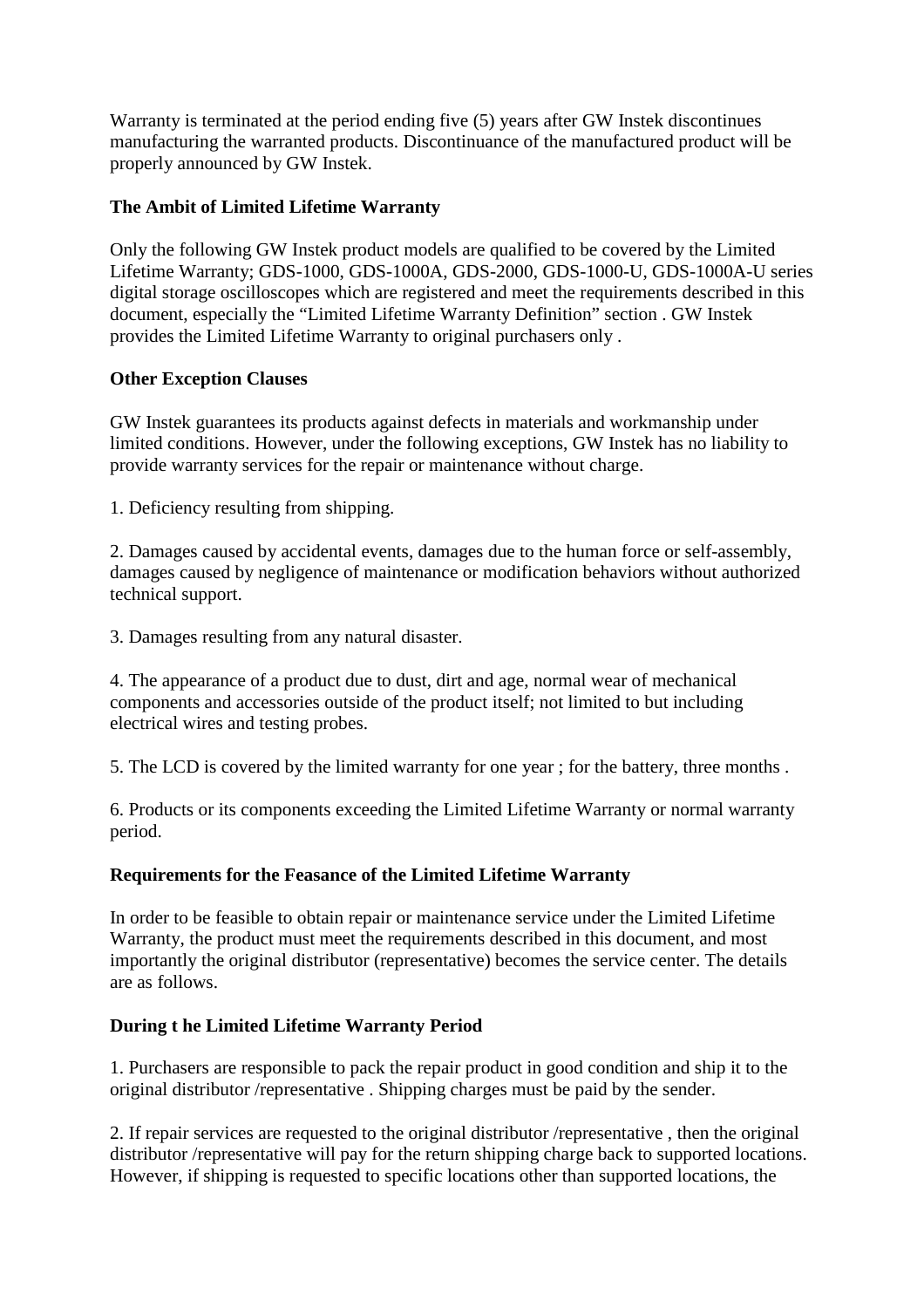Warranty is terminated at the period ending five (5) years after GW Instek discontinues manufacturing the warranted products. Discontinuance of the manufactured product will be properly announced by GW Instek.

### **The Ambit of Limited Lifetime Warranty**

Only the following GW Instek product models are qualified to be covered by the Limited Lifetime Warranty; GDS-1000, GDS-1000A, GDS-2000, GDS-1000-U, GDS-1000A-U series digital storage oscilloscopes which are registered and meet the requirements described in this document, especially the "Limited Lifetime Warranty Definition" section . GW Instek provides the Limited Lifetime Warranty to original purchasers only .

### **Other Exception Clauses**

GW Instek guarantees its products against defects in materials and workmanship under limited conditions. However, under the following exceptions, GW Instek has no liability to provide warranty services for the repair or maintenance without charge.

1. Deficiency resulting from shipping.

2. Damages caused by accidental events, damages due to the human force or self-assembly, damages caused by negligence of maintenance or modification behaviors without authorized technical support.

3. Damages resulting from any natural disaster.

4. The appearance of a product due to dust, dirt and age, normal wear of mechanical components and accessories outside of the product itself; not limited to but including electrical wires and testing probes.

5. The LCD is covered by the limited warranty for one year ; for the battery, three months .

6. Products or its components exceeding the Limited Lifetime Warranty or normal warranty period.

### **Requirements for the Feasance of the Limited Lifetime Warranty**

In order to be feasible to obtain repair or maintenance service under the Limited Lifetime Warranty, the product must meet the requirements described in this document, and most importantly the original distributor (representative) becomes the service center. The details are as follows.

# **During t he Limited Lifetime Warranty Period**

1. Purchasers are responsible to pack the repair product in good condition and ship it to the original distributor /representative . Shipping charges must be paid by the sender.

2. If repair services are requested to the original distributor /representative , then the original distributor /representative will pay for the return shipping charge back to supported locations. However, if shipping is requested to specific locations other than supported locations, the